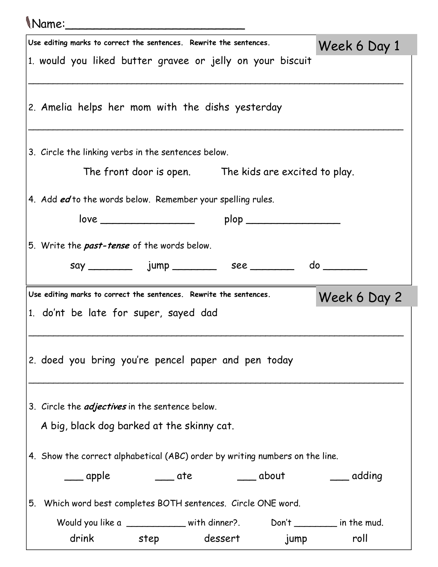| (Name:_                                                                              |              |
|--------------------------------------------------------------------------------------|--------------|
| Use editing marks to correct the sentences. Rewrite the sentences.                   | Week 6 Day 1 |
| 1. would you liked butter gravee or jelly on your biscuit                            |              |
| 2. Amelia helps her mom with the dishs yesterday                                     |              |
| 3. Circle the linking verbs in the sentences below.                                  |              |
| The front door is open. The kids are excited to play.                                |              |
| 4. Add ed to the words below. Remember your spelling rules.                          |              |
| plop ______________________                                                          |              |
| 5. Write the <b>past-tense</b> of the words below.                                   |              |
|                                                                                      |              |
| Use editing marks to correct the sentences. Rewrite the sentences.                   | Week 6 Day 2 |
| 1. do'nt be late for super, sayed dad                                                |              |
| 2. doed you bring you're pencel paper and pen today                                  |              |
| 3. Circle the <i>adjectives</i> in the sentence below.                               |              |
| A big, black dog barked at the skinny cat.                                           |              |
| $\vert$ 4. Show the correct alphabetical (ABC) order by writing numbers on the line. |              |
| ____ apple       ____ ate       ____ about       ____ adding                         |              |
| 5. Which word best completes BOTH sentences. Circle ONE word.                        |              |
| Would you like a ___________ with dinner?. Don't _______ in the mud.                 |              |
| drink step dessert jump                                                              | roll         |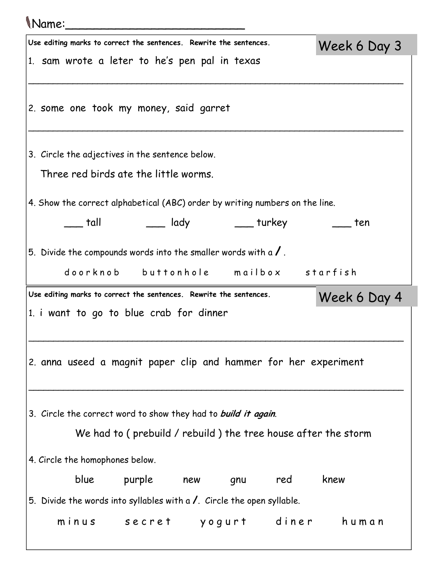## Name:\_\_\_\_\_\_\_\_\_\_\_\_\_\_\_\_\_\_\_\_\_\_\_\_\_

|                                                                                    |                                 | Use editing marks to correct the sentences. Rewrite the sentences. |     |                                                                                |      | Week 6 Day 3 |  |
|------------------------------------------------------------------------------------|---------------------------------|--------------------------------------------------------------------|-----|--------------------------------------------------------------------------------|------|--------------|--|
|                                                                                    |                                 | 1. sam wrote a leter to he's pen pal in texas                      |     |                                                                                |      |              |  |
|                                                                                    |                                 |                                                                    |     |                                                                                |      |              |  |
|                                                                                    |                                 | 2. some one took my money, said garret                             |     |                                                                                |      |              |  |
|                                                                                    |                                 |                                                                    |     |                                                                                |      |              |  |
|                                                                                    |                                 |                                                                    |     |                                                                                |      |              |  |
|                                                                                    |                                 | 3. Circle the adjectives in the sentence below.                    |     |                                                                                |      |              |  |
|                                                                                    |                                 | Three red birds ate the little worms.                              |     |                                                                                |      |              |  |
| 4. Show the correct alphabetical (ABC) order by writing numbers on the line.       |                                 |                                                                    |     |                                                                                |      |              |  |
|                                                                                    | tall t                          |                                                                    |     | ____ lady _____ turkey                                                         |      | ten ten      |  |
|                                                                                    |                                 |                                                                    |     |                                                                                |      |              |  |
|                                                                                    |                                 |                                                                    |     | 5. Divide the compounds words into the smaller words with a $\sqrt{ }$ .       |      |              |  |
|                                                                                    |                                 |                                                                    |     | doorknob buttonhole mailbox starfish                                           |      |              |  |
| Use editing marks to correct the sentences. Rewrite the sentences.<br>Week 6 Day 4 |                                 |                                                                    |     |                                                                                |      |              |  |
|                                                                                    |                                 |                                                                    |     |                                                                                |      |              |  |
|                                                                                    |                                 | 1. i want to go to blue crab for dinner                            |     |                                                                                |      |              |  |
|                                                                                    |                                 |                                                                    |     |                                                                                |      |              |  |
|                                                                                    |                                 |                                                                    |     |                                                                                |      |              |  |
|                                                                                    |                                 |                                                                    |     | 2. anna useed a magnit paper clip and hammer for her experiment                |      |              |  |
|                                                                                    |                                 |                                                                    |     |                                                                                |      |              |  |
|                                                                                    |                                 | 3. Circle the correct word to show they had to build it again.     |     |                                                                                |      |              |  |
|                                                                                    |                                 |                                                                    |     |                                                                                |      |              |  |
|                                                                                    |                                 |                                                                    |     | We had to (prebuild / rebuild) the tree house after the storm                  |      |              |  |
|                                                                                    | 4. Circle the homophones below. |                                                                    |     |                                                                                |      |              |  |
|                                                                                    | blue                            | purple                                                             | new | red<br>gnu                                                                     | knew |              |  |
|                                                                                    |                                 |                                                                    |     | 5. Divide the words into syllables with a $\prime$ . Circle the open syllable. |      |              |  |
|                                                                                    |                                 |                                                                    |     | minus secret yogurt diner human                                                |      |              |  |